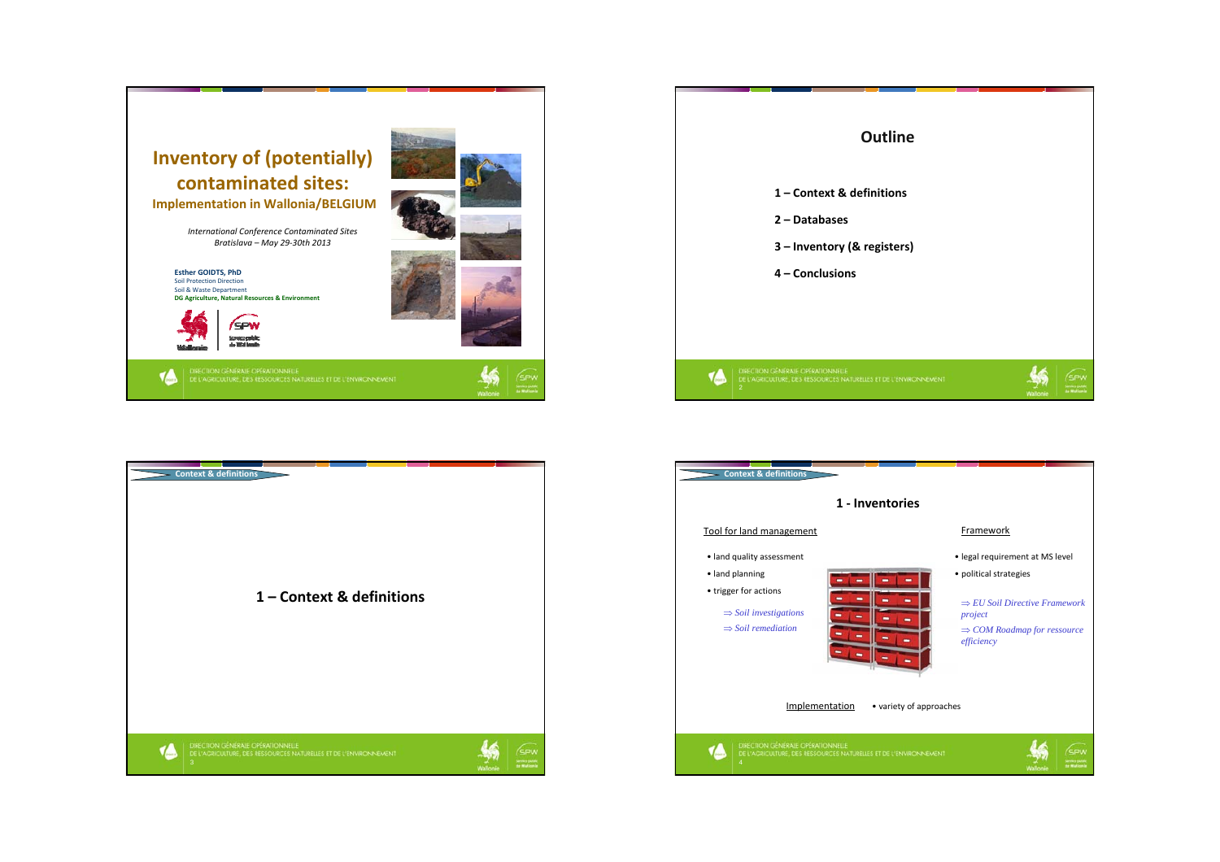





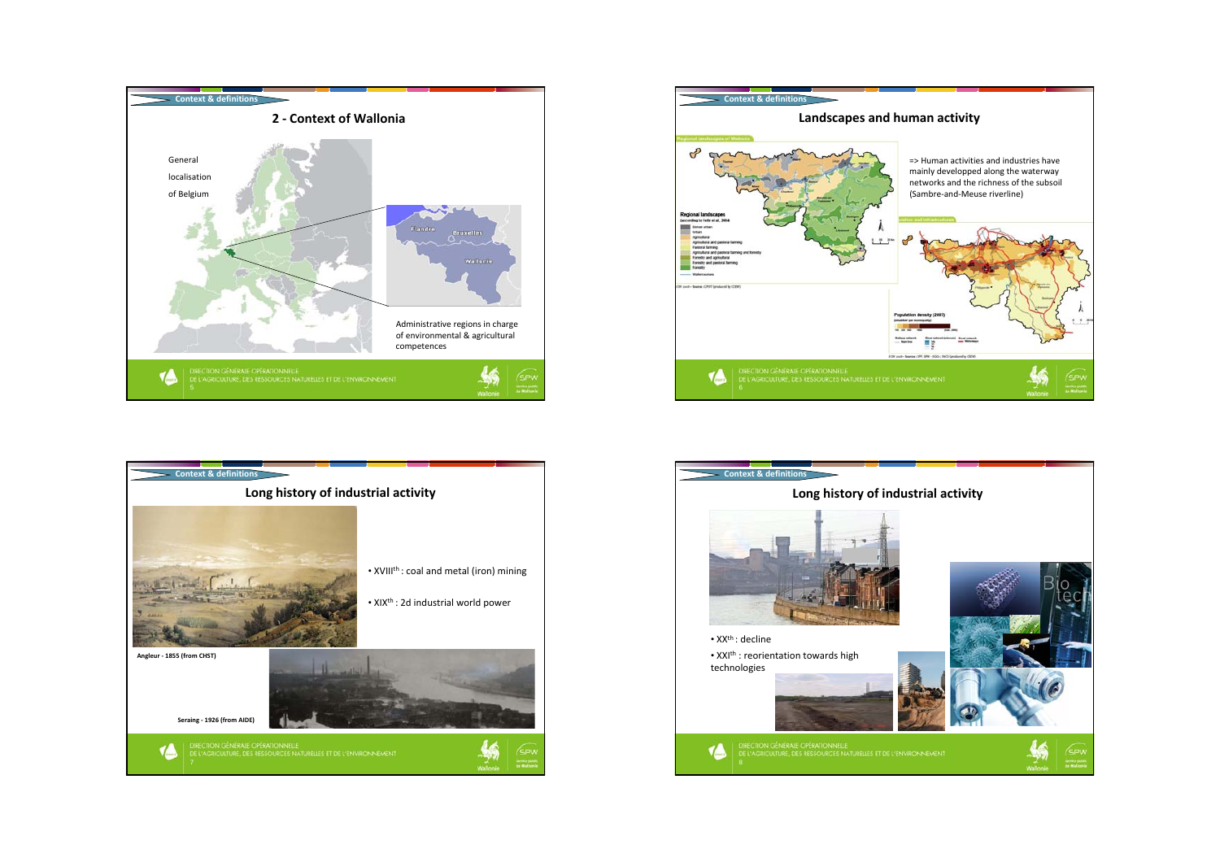





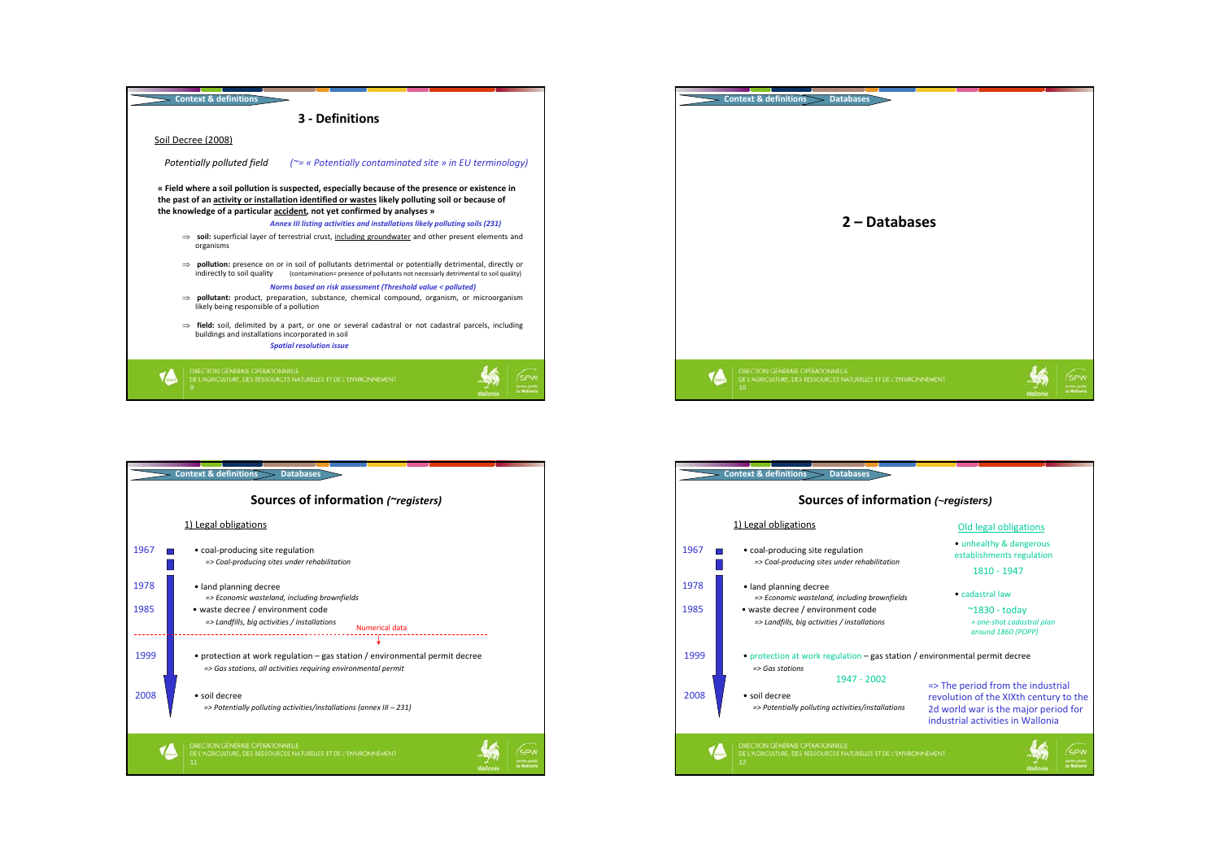



|              | <b>Context &amp; definitions</b><br><b>Databases</b>                                                                                                            |
|--------------|-----------------------------------------------------------------------------------------------------------------------------------------------------------------|
|              | Sources of information ( <i>registers</i> )                                                                                                                     |
|              | 1) Legal obligations                                                                                                                                            |
| 1967         | • coal-producing site regulation<br>=> Coal-producing sites under rehabilitation                                                                                |
| 1978<br>1985 | • land planning decree<br>=> Economic wasteland, including brownfields<br>• waste decree / environment code<br>=> Landfills, big activities / installations     |
| 1999         | Numerical data<br>• protection at work regulation – gas station / environmental permit decree<br>=> Gas stations, all activities requiring environmental permit |
| 2008         | · soil decree<br>=> Potentially polluting activities/installations (annex III - 231)                                                                            |
|              | DIRECTION GÉNÉRALE OPÉRATIONNELLE<br>DE L'AGRICULTURE, DES RESSOURCES NATURELLES ET DE L'ENVIRONINEMENT<br>11                                                   |

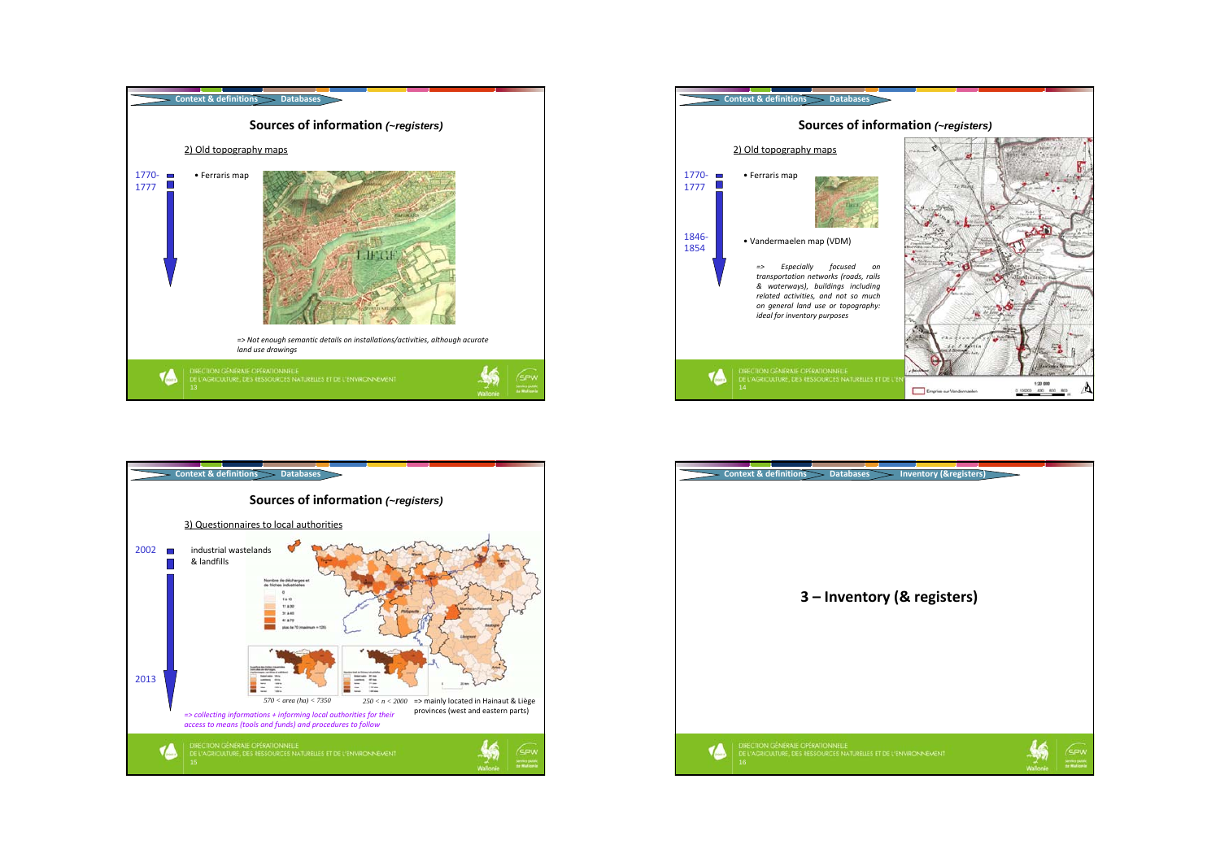





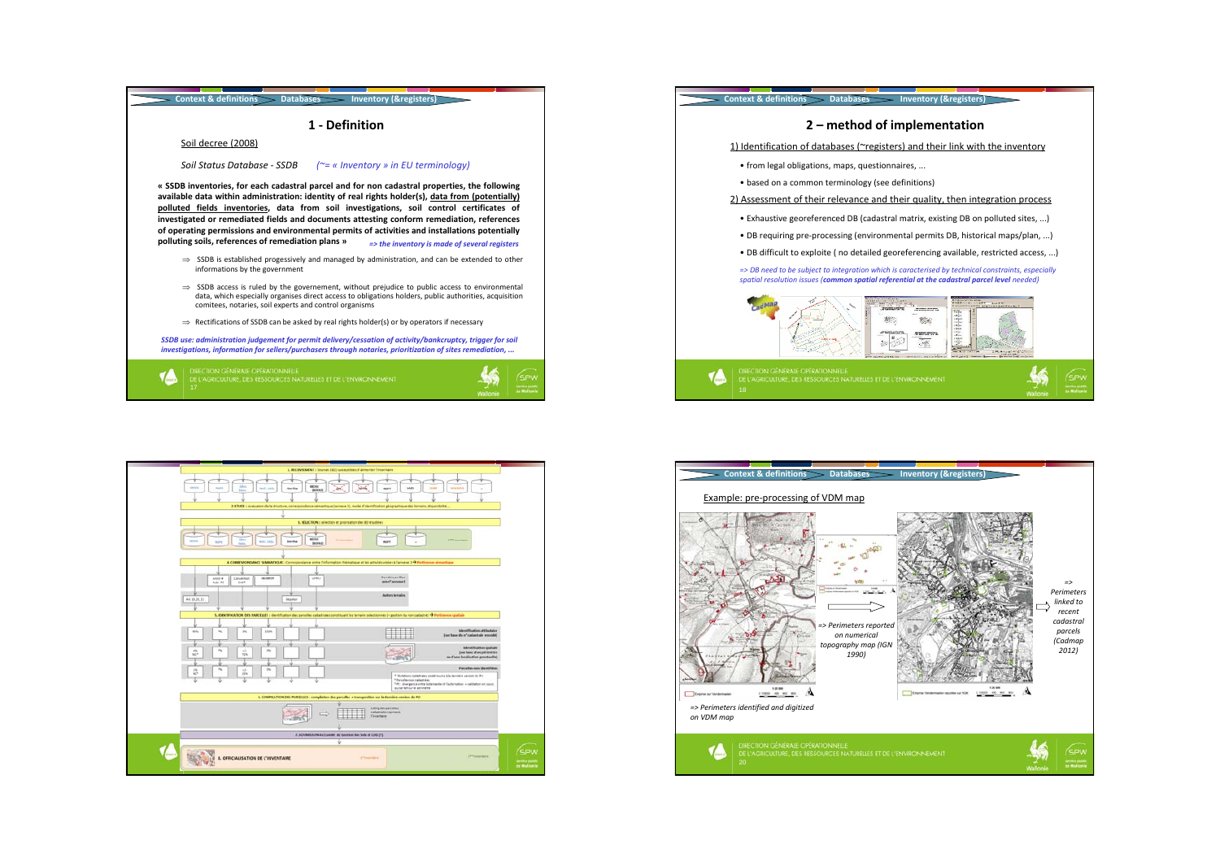



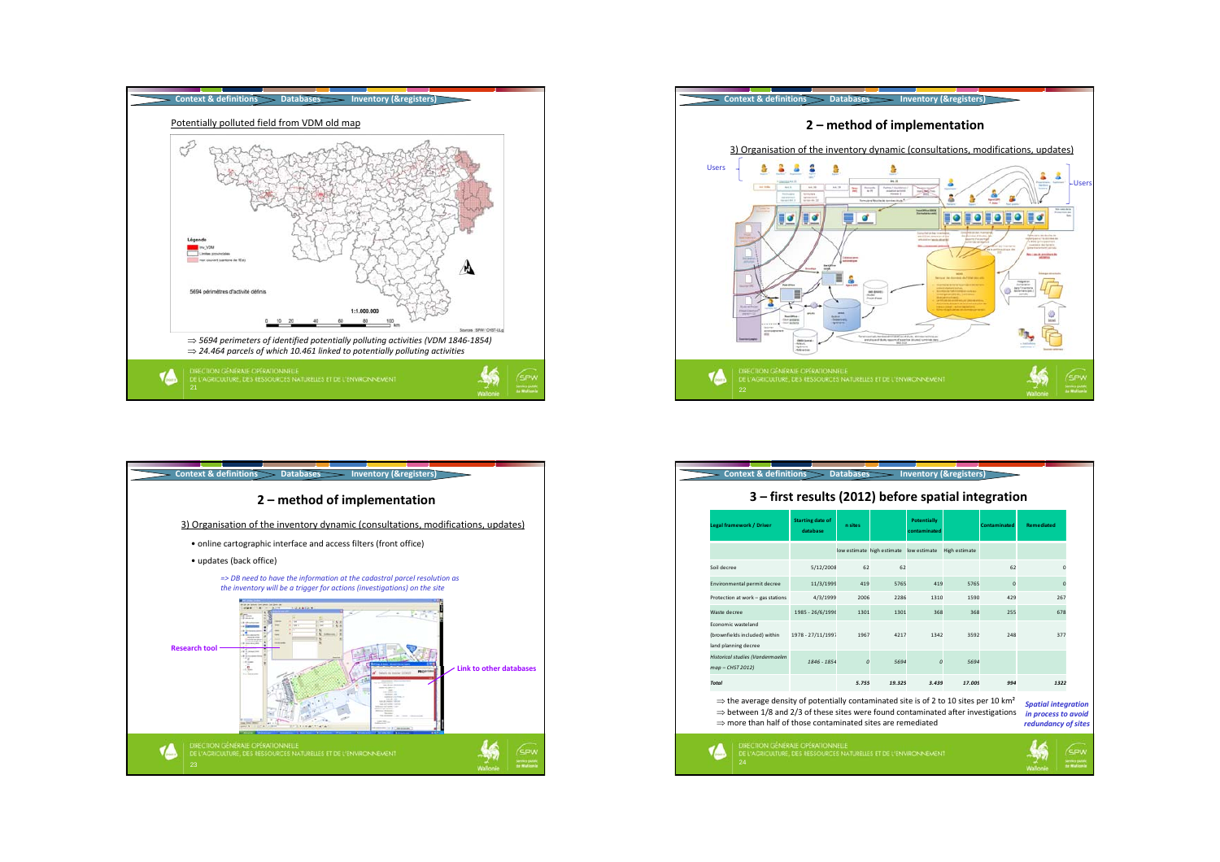





| <b>Legal framework / Driver</b>                                                                                                                                                                                                                                                           | <b>Starting date of</b><br>database | n sites  |                                         | <b>Potentially</b><br>contaminated |                      | <b>Contaminated</b> | <b>Remediated</b>                                                        |
|-------------------------------------------------------------------------------------------------------------------------------------------------------------------------------------------------------------------------------------------------------------------------------------------|-------------------------------------|----------|-----------------------------------------|------------------------------------|----------------------|---------------------|--------------------------------------------------------------------------|
|                                                                                                                                                                                                                                                                                           |                                     |          | low estimate high estimate low estimate |                                    | <b>High estimate</b> |                     |                                                                          |
| Soil decree                                                                                                                                                                                                                                                                               | 5/12/2008                           | 62       | 62                                      |                                    |                      | 62                  | $\Omega$                                                                 |
| Environmental permit decree                                                                                                                                                                                                                                                               | 11/3/1999                           | 419      | 5765                                    | 419                                | 5765                 | $\mathbf 0$         | $\mathbf 0$                                                              |
| Protection at work - gas stations                                                                                                                                                                                                                                                         | 4/3/1999                            | 2006     | 2286                                    | 1310                               | 1590                 | 429                 | 267                                                                      |
| Waste decree                                                                                                                                                                                                                                                                              | 1985 - 26/6/1996                    | 1301     | 1301                                    | 368                                | 368                  | 255                 | 678                                                                      |
| Economic wasteland<br>(brownfields included) within<br>land planning decree                                                                                                                                                                                                               | 1978 - 27/11/1997                   | 1967     | 4217                                    | 1342                               | 3592                 | 248                 | 377                                                                      |
| Historical studies (Vandermaelen<br>map - CHST 2012)                                                                                                                                                                                                                                      | 1846 - 1854                         | $\Omega$ | 5694                                    | n                                  | 5694                 |                     |                                                                          |
| <b>Total</b>                                                                                                                                                                                                                                                                              |                                     | 5.755    | 19.325                                  | 3.439                              | 17.009               | 994                 | 1322                                                                     |
| $\Rightarrow$ the average density of potentially contaminated site is of 2 to 10 sites per 10 km <sup>2</sup><br>$\Rightarrow$ between 1/8 and 2/3 of these sites were found contaminated after investigations<br>$\Rightarrow$ more than half of those contaminated sites are remediated |                                     |          |                                         |                                    |                      |                     | <b>Spatial integration</b><br>in process to avoid<br>redundancy of sites |